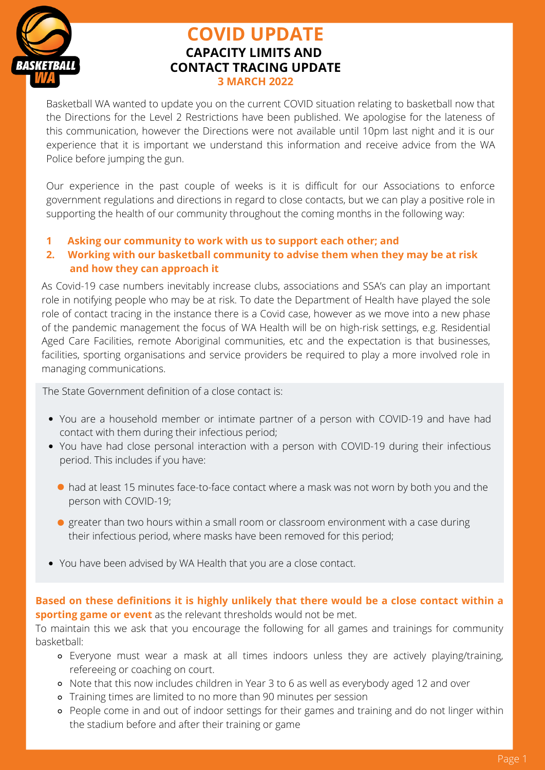

# **COVID UPDATE CAPACITY LIMITS AND CONTACT TRACING UPDATE 3 MARCH 2022**

Basketball WA wanted to update you on the current COVID situation relating to basketball now that the Directions for the Level 2 Restrictions have been published. We apologise for the lateness of this communication, however the Directions were not available until 10pm last night and it is our experience that it is important we understand this information and receive advice from the WA Police before jumping the gun.

Our experience in the past couple of weeks is it is difficult for our Associations to enforce government regulations and directions in regard to close contacts, but we can play a positive role in supporting the health of our community throughout the coming months in the following way:

**1 Asking our community to work with us to support each other; and**

# **2. Working with our basketball community to advise them when they may be at risk and how they can approach it**

As Covid-19 case numbers inevitably increase clubs, associations and SSA's can play an important role in notifying people who may be at risk. To date the Department of Health have played the sole role of contact tracing in the instance there is a Covid case, however as we move into a new phase of the pandemic management the focus of WA Health will be on high-risk settings, e.g. Residential Aged Care Facilities, remote Aboriginal communities, etc and the expectation is that businesses, facilities, sporting organisations and service providers be required to play a more involved role in managing communications.

The State Government definition of a close contact is:

- You are a household member or intimate partner of a person with COVID-19 and have had contact with them during their infectious period;
- You have had close personal interaction with a person with COVID-19 during their infectious period. This includes if you have:
	- had at least 15 minutes face-to-face contact where a mask was not worn by both you and the person with COVID-19;
	- **•** greater than two hours within a small room or classroom environment with a case during their infectious period, where masks have been removed for this period;
- You have been advised by WA Health that you are a close contact.

**Based on these definitions it is highly unlikely that there would be a close contact within a sporting game or event** as the relevant thresholds would not be met.

To maintain this we ask that you encourage the following for all games and trainings for community basketball:

- Everyone must wear a mask at all times indoors unless they are actively playing/training, refereeing or coaching on court.
- Note that this now includes children in Year 3 to 6 as well as everybody aged 12 and over
- Training times are limited to no more than 90 minutes per session
- People come in and out of indoor settings for their games and training and do not linger within the stadium before and after their training or game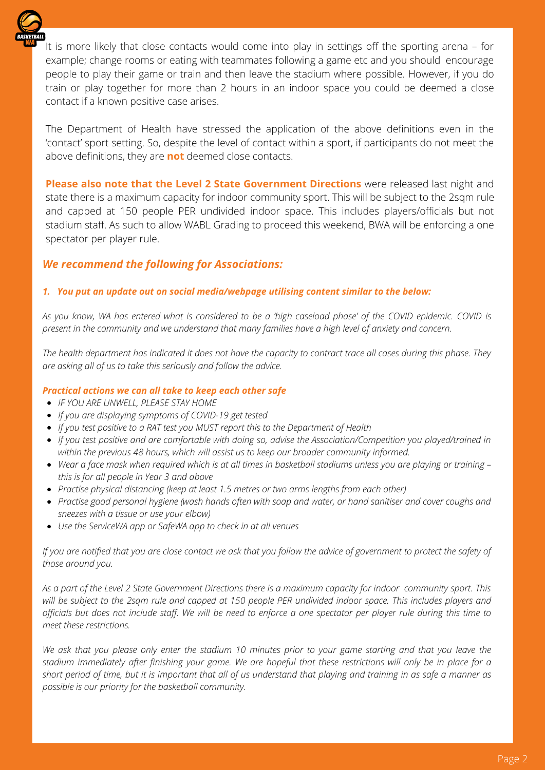

It is more likely that close contacts would come into play in settings off the sporting arena – for example; change rooms or eating with teammates following a game etc and you should encourage people to play their game or train and then leave the stadium where possible. However, if you do train or play together for more than 2 hours in an indoor space you could be deemed a close contact if a known positive case arises.

The Department of Health have stressed the application of the above definitions even in the 'contact' sport setting. So, despite the level of contact within a sport, if participants do not meet the above definitions, they are **not** deemed close contacts.

**Please also note that the Level 2 State Government Directions** were released last night and state there is a maximum capacity for indoor community sport. This will be subject to the 2sqm rule and capped at 150 people PER undivided indoor space. This includes players/officials but not stadium staff. As such to allow WABL Grading to proceed this weekend, BWA will be enforcing a one spectator per player rule.

# *We recommend the following for Associations:*

## *1. You put an update out on social media/webpage utilising content similar to the below:*

As you know, WA has entered what is considered to be a 'high [caseload](https://www.facebook.com/MarkMcGowanMP/posts/495870485235135) phase' of the COVID epidemic. COVID is present in the community and we understand that many families have a high level of anxiety and concern.

The health department has indicated it does not have the capacity to contract trace all cases during this phase. They *are asking all of us to take this seriously and follow the advice.*

#### *Practical actions we can all take to keep each other safe*

- *IF YOU ARE UNWELL, PLEASE STAY HOME*
- *If you are displaying [symptoms](https://www.healthywa.wa.gov.au/Articles/A_E/Coronavirus/COVID19-testing) of COVID-19 get tested*
- *If you test positive to a RAT test you MUST report this to the Department of Health*
- *If you test positive and are comfortable with doing so, advise the Association/Competition you played/trained in within the previous 48 hours, which will assist us to keep our broader community informed.*
- Wear a face [mask](https://www.healthywa.wa.gov.au/Articles/A_E/Coronavirus/Face-masks) when required which is at all times in basketball stadiums unless you are playing or training *this is for all people in Year 3 and above*
- *Practise physical distancing (keep at least 1.5 metres or two arms lengths from each other)*
- Practise good [personal](https://www.healthywa.wa.gov.au/Articles/N_R/Preventing-flu-and-other-respiratory-infections) hygiene (wash hands often with soap and water, or hand sanitiser and cover coughs and *sneezes with a tissue or use your elbow)*
- *Use the ServiceWA app or SafeWA app to check in at all venues*

If you are notified that you are close contact we ask that you follow the advice of government to protect the safety of *those around you.*

As a part of the Level 2 State Government Directions there is a maximum capacity for indoor community sport. This will be subject to the 2sqm rule and capped at 150 people PER undivided indoor space. This includes players and officials but does not include staff. We will be need to enforce a one spectator per player rule during this time to *meet these restrictions.*

We ask that you please only enter the stadium 10 minutes prior to your game starting and that you leave the stadium immediately after finishing your game. We are hopeful that these restrictions will only be in place for a short period of time, but it is important that all of us understand that playing and training in as safe a manner as *possible is our priority for the basketball community.*